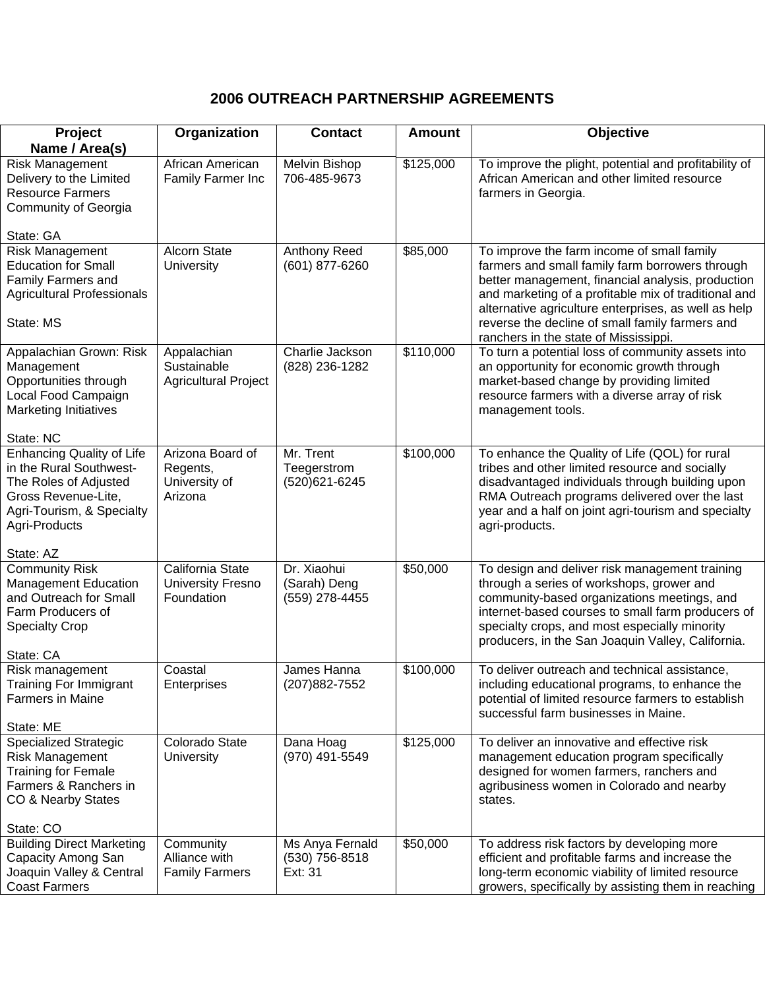## **2006 OUTREACH PARTNERSHIP AGREEMENTS**

| Project                                                                                                                                                   | Organization                                               | <b>Contact</b>                                | <b>Amount</b> | Objective                                                                                                                                                                                                                                                                                                                                                      |
|-----------------------------------------------------------------------------------------------------------------------------------------------------------|------------------------------------------------------------|-----------------------------------------------|---------------|----------------------------------------------------------------------------------------------------------------------------------------------------------------------------------------------------------------------------------------------------------------------------------------------------------------------------------------------------------------|
| Name / Area(s)                                                                                                                                            |                                                            |                                               |               |                                                                                                                                                                                                                                                                                                                                                                |
| <b>Risk Management</b><br>Delivery to the Limited<br><b>Resource Farmers</b><br><b>Community of Georgia</b>                                               | African American<br>Family Farmer Inc                      | Melvin Bishop<br>706-485-9673                 | \$125,000     | To improve the plight, potential and profitability of<br>African American and other limited resource<br>farmers in Georgia.                                                                                                                                                                                                                                    |
| State: GA                                                                                                                                                 |                                                            |                                               |               |                                                                                                                                                                                                                                                                                                                                                                |
| <b>Risk Management</b><br><b>Education for Small</b><br><b>Family Farmers and</b><br><b>Agricultural Professionals</b><br>State: MS                       | Alcorn State<br>University                                 | Anthony Reed<br>(601) 877-6260                | \$85,000      | To improve the farm income of small family<br>farmers and small family farm borrowers through<br>better management, financial analysis, production<br>and marketing of a profitable mix of traditional and<br>alternative agriculture enterprises, as well as help<br>reverse the decline of small family farmers and<br>ranchers in the state of Mississippi. |
| Appalachian Grown: Risk<br>Management<br>Opportunities through<br>Local Food Campaign<br><b>Marketing Initiatives</b><br>State: NC                        | Appalachian<br>Sustainable<br><b>Agricultural Project</b>  | Charlie Jackson<br>(828) 236-1282             | \$110,000     | To turn a potential loss of community assets into<br>an opportunity for economic growth through<br>market-based change by providing limited<br>resource farmers with a diverse array of risk<br>management tools.                                                                                                                                              |
| <b>Enhancing Quality of Life</b><br>in the Rural Southwest-<br>The Roles of Adjusted<br>Gross Revenue-Lite,<br>Agri-Tourism, & Specialty<br>Agri-Products | Arizona Board of<br>Regents,<br>University of<br>Arizona   | Mr. Trent<br>Teegerstrom<br>(520)621-6245     | \$100,000     | To enhance the Quality of Life (QOL) for rural<br>tribes and other limited resource and socially<br>disadvantaged individuals through building upon<br>RMA Outreach programs delivered over the last<br>year and a half on joint agri-tourism and specialty<br>agri-products.                                                                                  |
| State: AZ                                                                                                                                                 |                                                            |                                               |               |                                                                                                                                                                                                                                                                                                                                                                |
| <b>Community Risk</b><br>Management Education<br>and Outreach for Small<br>Farm Producers of<br><b>Specialty Crop</b><br>State: CA                        | California State<br><b>University Fresno</b><br>Foundation | Dr. Xiaohui<br>(Sarah) Deng<br>(559) 278-4455 | \$50,000      | To design and deliver risk management training<br>through a series of workshops, grower and<br>community-based organizations meetings, and<br>internet-based courses to small farm producers of<br>specialty crops, and most especially minority<br>producers, in the San Joaquin Valley, California.                                                          |
| Risk management<br><b>Training For Immigrant</b><br><b>Farmers in Maine</b><br>State: ME                                                                  | Coastal<br>Enterprises                                     | James Hanna<br>(207) 882-7552                 | \$100,000     | To deliver outreach and technical assistance,<br>including educational programs, to enhance the<br>potential of limited resource farmers to establish<br>successful farm businesses in Maine.                                                                                                                                                                  |
| <b>Specialized Strategic</b><br><b>Risk Management</b><br><b>Training for Female</b><br>Farmers & Ranchers in<br>CO & Nearby States<br>State: CO          | Colorado State<br><b>University</b>                        | Dana Hoag<br>(970) 491-5549                   | \$125,000     | To deliver an innovative and effective risk<br>management education program specifically<br>designed for women farmers, ranchers and<br>agribusiness women in Colorado and nearby<br>states.                                                                                                                                                                   |
| <b>Building Direct Marketing</b><br>Capacity Among San<br>Joaquin Valley & Central<br><b>Coast Farmers</b>                                                | Community<br>Alliance with<br><b>Family Farmers</b>        | Ms Anya Fernald<br>(530) 756-8518<br>Ext: 31  | \$50,000      | To address risk factors by developing more<br>efficient and profitable farms and increase the<br>long-term economic viability of limited resource<br>growers, specifically by assisting them in reaching                                                                                                                                                       |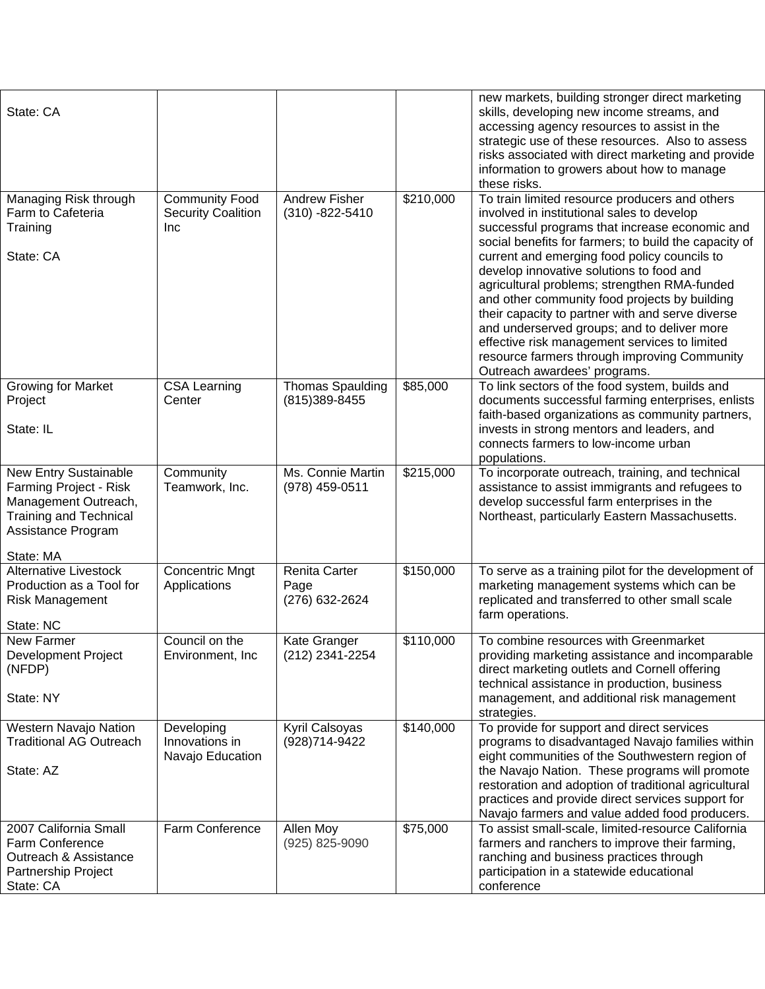| State: CA                                                                                                                                   |                                                                  |                                                |           | new markets, building stronger direct marketing<br>skills, developing new income streams, and<br>accessing agency resources to assist in the<br>strategic use of these resources. Also to assess<br>risks associated with direct marketing and provide<br>information to growers about how to manage<br>these risks.                                                                                                                                                                                                                                                                                                                     |
|---------------------------------------------------------------------------------------------------------------------------------------------|------------------------------------------------------------------|------------------------------------------------|-----------|------------------------------------------------------------------------------------------------------------------------------------------------------------------------------------------------------------------------------------------------------------------------------------------------------------------------------------------------------------------------------------------------------------------------------------------------------------------------------------------------------------------------------------------------------------------------------------------------------------------------------------------|
| Managing Risk through<br>Farm to Cafeteria<br>Training<br>State: CA                                                                         | <b>Community Food</b><br><b>Security Coalition</b><br><b>Inc</b> | <b>Andrew Fisher</b><br>$(310) - 822 - 5410$   | \$210,000 | To train limited resource producers and others<br>involved in institutional sales to develop<br>successful programs that increase economic and<br>social benefits for farmers; to build the capacity of<br>current and emerging food policy councils to<br>develop innovative solutions to food and<br>agricultural problems; strengthen RMA-funded<br>and other community food projects by building<br>their capacity to partner with and serve diverse<br>and underserved groups; and to deliver more<br>effective risk management services to limited<br>resource farmers through improving Community<br>Outreach awardees' programs. |
| <b>Growing for Market</b><br>Project<br>State: IL                                                                                           | <b>CSA Learning</b><br>Center                                    | <b>Thomas Spaulding</b><br>(815) 389-8455      | \$85,000  | To link sectors of the food system, builds and<br>documents successful farming enterprises, enlists<br>faith-based organizations as community partners,<br>invests in strong mentors and leaders, and<br>connects farmers to low-income urban<br>populations.                                                                                                                                                                                                                                                                                                                                                                            |
| New Entry Sustainable<br>Farming Project - Risk<br>Management Outreach,<br><b>Training and Technical</b><br>Assistance Program<br>State: MA | Community<br>Teamwork, Inc.                                      | Ms. Connie Martin<br>(978) 459-0511            | \$215,000 | To incorporate outreach, training, and technical<br>assistance to assist immigrants and refugees to<br>develop successful farm enterprises in the<br>Northeast, particularly Eastern Massachusetts.                                                                                                                                                                                                                                                                                                                                                                                                                                      |
| <b>Alternative Livestock</b><br>Production as a Tool for<br><b>Risk Management</b><br>State: NC                                             | <b>Concentric Mngt</b><br>Applications                           | <b>Renita Carter</b><br>Page<br>(276) 632-2624 | \$150,000 | To serve as a training pilot for the development of<br>marketing management systems which can be<br>replicated and transferred to other small scale<br>farm operations.                                                                                                                                                                                                                                                                                                                                                                                                                                                                  |
| <b>New Farmer</b><br><b>Development Project</b><br>(NFDP)<br>State: NY                                                                      | Council on the<br>Environment, Inc.                              | Kate Granger<br>(212) 2341-2254                | \$110,000 | To combine resources with Greenmarket<br>providing marketing assistance and incomparable<br>direct marketing outlets and Cornell offering<br>technical assistance in production, business<br>management, and additional risk management<br>strategies.                                                                                                                                                                                                                                                                                                                                                                                   |
| Western Navajo Nation<br><b>Traditional AG Outreach</b><br>State: AZ                                                                        | Developing<br>Innovations in<br>Navajo Education                 | Kyril Calsoyas<br>(928)714-9422                | \$140,000 | To provide for support and direct services<br>programs to disadvantaged Navajo families within<br>eight communities of the Southwestern region of<br>the Navajo Nation. These programs will promote<br>restoration and adoption of traditional agricultural<br>practices and provide direct services support for<br>Navajo farmers and value added food producers.                                                                                                                                                                                                                                                                       |
| 2007 California Small<br>Farm Conference<br>Outreach & Assistance<br>Partnership Project<br>State: CA                                       | Farm Conference                                                  | Allen Moy<br>(925) 825-9090                    | \$75,000  | To assist small-scale, limited-resource California<br>farmers and ranchers to improve their farming,<br>ranching and business practices through<br>participation in a statewide educational<br>conference                                                                                                                                                                                                                                                                                                                                                                                                                                |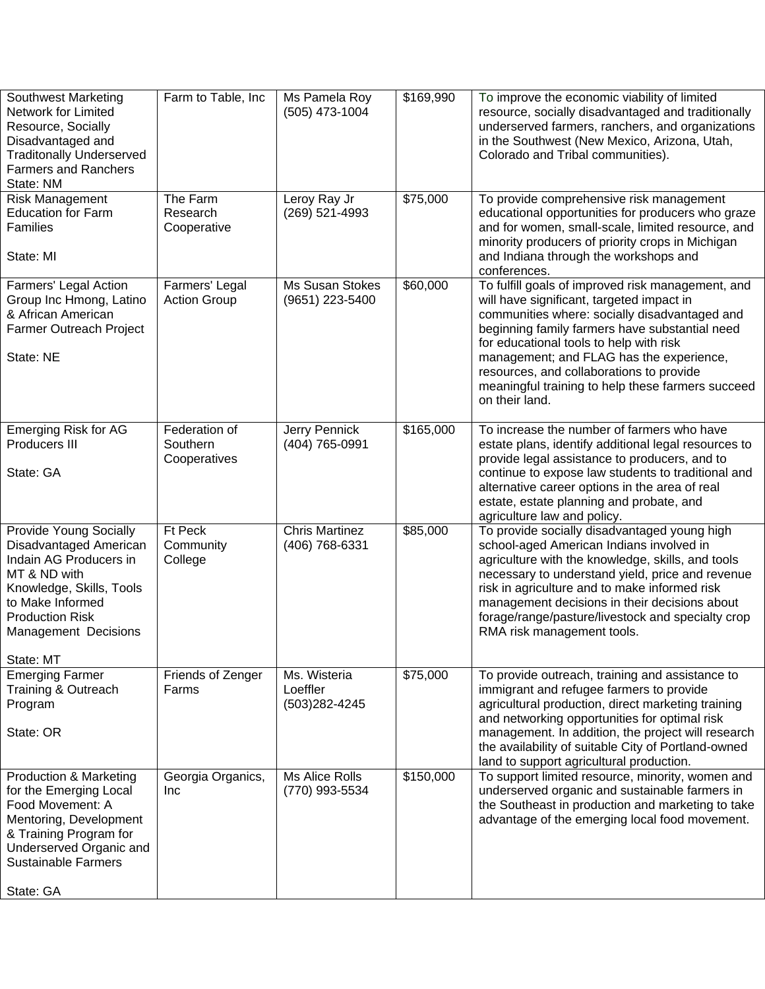| <b>Southwest Marketing</b><br>Network for Limited<br>Resource, Socially<br>Disadvantaged and<br><b>Traditonally Underserved</b><br><b>Farmers and Ranchers</b><br>State: NM                                      | Farm to Table, Inc                        | Ms Pamela Roy<br>(505) 473-1004            | \$169,990 | To improve the economic viability of limited<br>resource, socially disadvantaged and traditionally<br>underserved farmers, ranchers, and organizations<br>in the Southwest (New Mexico, Arizona, Utah,<br>Colorado and Tribal communities).                                                                                                                                                                 |
|------------------------------------------------------------------------------------------------------------------------------------------------------------------------------------------------------------------|-------------------------------------------|--------------------------------------------|-----------|-------------------------------------------------------------------------------------------------------------------------------------------------------------------------------------------------------------------------------------------------------------------------------------------------------------------------------------------------------------------------------------------------------------|
| Risk Management<br><b>Education for Farm</b><br><b>Families</b><br>State: MI                                                                                                                                     | The Farm<br>Research<br>Cooperative       | Leroy Ray Jr<br>(269) 521-4993             | \$75,000  | To provide comprehensive risk management<br>educational opportunities for producers who graze<br>and for women, small-scale, limited resource, and<br>minority producers of priority crops in Michigan<br>and Indiana through the workshops and<br>conferences.                                                                                                                                             |
| Farmers' Legal Action<br>Group Inc Hmong, Latino<br>& African American<br>Farmer Outreach Project<br>State: NE                                                                                                   | Farmers' Legal<br><b>Action Group</b>     | Ms Susan Stokes<br>(9651) 223-5400         | \$60,000  | To fulfill goals of improved risk management, and<br>will have significant, targeted impact in<br>communities where: socially disadvantaged and<br>beginning family farmers have substantial need<br>for educational tools to help with risk<br>management; and FLAG has the experience,<br>resources, and collaborations to provide<br>meaningful training to help these farmers succeed<br>on their land. |
| <b>Emerging Risk for AG</b><br>Producers III<br>State: GA                                                                                                                                                        | Federation of<br>Southern<br>Cooperatives | Jerry Pennick<br>(404) 765-0991            | \$165,000 | To increase the number of farmers who have<br>estate plans, identify additional legal resources to<br>provide legal assistance to producers, and to<br>continue to expose law students to traditional and<br>alternative career options in the area of real<br>estate, estate planning and probate, and<br>agriculture law and policy.                                                                      |
| <b>Provide Young Socially</b><br>Disadvantaged American<br>Indain AG Producers in<br>MT & ND with<br>Knowledge, Skills, Tools<br>to Make Informed<br><b>Production Risk</b><br>Management Decisions<br>State: MT | Ft Peck<br>Community<br>College           | <b>Chris Martinez</b><br>(406) 768-6331    | \$85,000  | To provide socially disadvantaged young high<br>school-aged American Indians involved in<br>agriculture with the knowledge, skills, and tools<br>necessary to understand yield, price and revenue<br>risk in agriculture and to make informed risk<br>management decisions in their decisions about<br>forage/range/pasture/livestock and specialty crop<br>RMA risk management tools.                      |
| <b>Emerging Farmer</b><br>Training & Outreach<br>Program<br>State: OR                                                                                                                                            | Friends of Zenger<br>Farms                | Ms. Wisteria<br>Loeffler<br>(503) 282-4245 | \$75,000  | To provide outreach, training and assistance to<br>immigrant and refugee farmers to provide<br>agricultural production, direct marketing training<br>and networking opportunities for optimal risk<br>management. In addition, the project will research<br>the availability of suitable City of Portland-owned<br>land to support agricultural production.                                                 |
| <b>Production &amp; Marketing</b><br>for the Emerging Local<br>Food Movement: A<br>Mentoring, Development<br>& Training Program for<br>Underserved Organic and<br><b>Sustainable Farmers</b>                     | Georgia Organics,<br><b>Inc</b>           | <b>Ms Alice Rolls</b><br>(770) 993-5534    | \$150,000 | To support limited resource, minority, women and<br>underserved organic and sustainable farmers in<br>the Southeast in production and marketing to take<br>advantage of the emerging local food movement.                                                                                                                                                                                                   |
| State: GA                                                                                                                                                                                                        |                                           |                                            |           |                                                                                                                                                                                                                                                                                                                                                                                                             |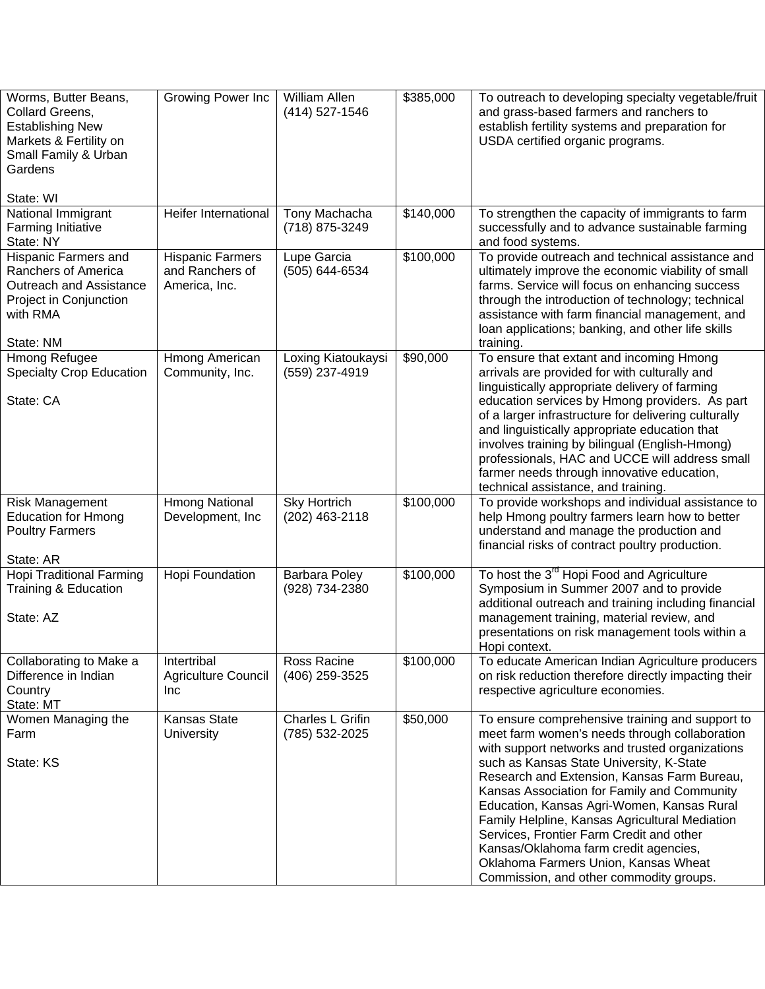| Worms, Butter Beans,<br>Collard Greens,<br><b>Establishing New</b><br>Markets & Fertility on<br>Small Family & Urban<br>Gardens<br>State: WI | Growing Power Inc                                           | William Allen<br>(414) 527-1546       | \$385,000 | To outreach to developing specialty vegetable/fruit<br>and grass-based farmers and ranchers to<br>establish fertility systems and preparation for<br>USDA certified organic programs.                                                                                                                                                                                                                                                                                                                                                                                 |
|----------------------------------------------------------------------------------------------------------------------------------------------|-------------------------------------------------------------|---------------------------------------|-----------|-----------------------------------------------------------------------------------------------------------------------------------------------------------------------------------------------------------------------------------------------------------------------------------------------------------------------------------------------------------------------------------------------------------------------------------------------------------------------------------------------------------------------------------------------------------------------|
| National Immigrant<br><b>Farming Initiative</b><br>State: NY                                                                                 | Heifer International                                        | Tony Machacha<br>(718) 875-3249       | \$140,000 | To strengthen the capacity of immigrants to farm<br>successfully and to advance sustainable farming<br>and food systems.                                                                                                                                                                                                                                                                                                                                                                                                                                              |
| <b>Hispanic Farmers and</b><br>Ranchers of America<br><b>Outreach and Assistance</b><br>Project in Conjunction<br>with RMA<br>State: NM      | <b>Hispanic Farmers</b><br>and Ranchers of<br>America, Inc. | Lupe Garcia<br>(505) 644-6534         | \$100,000 | To provide outreach and technical assistance and<br>ultimately improve the economic viability of small<br>farms. Service will focus on enhancing success<br>through the introduction of technology; technical<br>assistance with farm financial management, and<br>loan applications; banking, and other life skills<br>training.                                                                                                                                                                                                                                     |
| Hmong Refugee<br>Specialty Crop Education<br>State: CA                                                                                       | Hmong American<br>Community, Inc.                           | Loxing Kiatoukaysi<br>(559) 237-4919  | \$90,000  | To ensure that extant and incoming Hmong<br>arrivals are provided for with culturally and<br>linguistically appropriate delivery of farming<br>education services by Hmong providers. As part<br>of a larger infrastructure for delivering culturally<br>and linguistically appropriate education that<br>involves training by bilingual (English-Hmong)<br>professionals, HAC and UCCE will address small<br>farmer needs through innovative education,<br>technical assistance, and training.                                                                       |
| <b>Risk Management</b><br><b>Education for Hmong</b><br><b>Poultry Farmers</b><br>State: AR                                                  | <b>Hmong National</b><br>Development, Inc                   | <b>Sky Hortrich</b><br>(202) 463-2118 | \$100,000 | To provide workshops and individual assistance to<br>help Hmong poultry farmers learn how to better<br>understand and manage the production and<br>financial risks of contract poultry production.                                                                                                                                                                                                                                                                                                                                                                    |
| <b>Hopi Traditional Farming</b><br>Training & Education<br>State: AZ                                                                         | Hopi Foundation                                             | Barbara Poley<br>(928) 734-2380       | \$100,000 | To host the 3 <sup>rd</sup> Hopi Food and Agriculture<br>Symposium in Summer 2007 and to provide<br>additional outreach and training including financial<br>management training, material review, and<br>presentations on risk management tools within a<br>Hopi context.                                                                                                                                                                                                                                                                                             |
| Collaborating to Make a<br>Difference in Indian<br>Country<br>State: MT                                                                      | Intertribal<br>Agriculture Council<br><b>Inc</b>            | Ross Racine<br>(406) 259-3525         | \$100,000 | To educate American Indian Agriculture producers<br>on risk reduction therefore directly impacting their<br>respective agriculture economies.                                                                                                                                                                                                                                                                                                                                                                                                                         |
| Women Managing the<br>Farm<br>State: KS                                                                                                      | Kansas State<br><b>University</b>                           | Charles L Grifin<br>(785) 532-2025    | \$50,000  | To ensure comprehensive training and support to<br>meet farm women's needs through collaboration<br>with support networks and trusted organizations<br>such as Kansas State University, K-State<br>Research and Extension, Kansas Farm Bureau,<br>Kansas Association for Family and Community<br>Education, Kansas Agri-Women, Kansas Rural<br>Family Helpline, Kansas Agricultural Mediation<br>Services, Frontier Farm Credit and other<br>Kansas/Oklahoma farm credit agencies,<br>Oklahoma Farmers Union, Kansas Wheat<br>Commission, and other commodity groups. |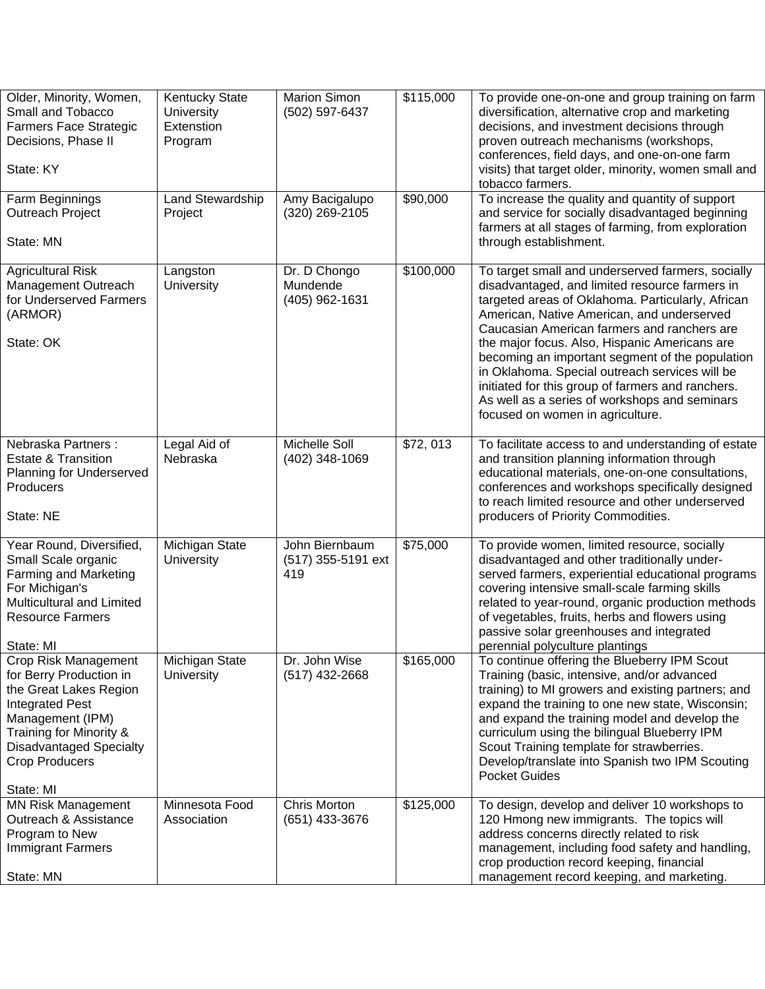| Older, Minority, Women,<br>Small and Tobacco<br><b>Farmers Face Strategic</b><br>Decisions, Phase II<br>State: KY                                                                                                          | <b>Kentucky State</b><br><b>University</b><br>Extenstion<br>Program | <b>Marion Simon</b><br>(502) 597-6437       | \$115,000 | To provide one-on-one and group training on farm<br>diversification, alternative crop and marketing<br>decisions, and investment decisions through<br>proven outreach mechanisms (workshops,<br>conferences, field days, and one-on-one farm<br>visits) that target older, minority, women small and<br>tobacco farmers.                                                                                                                                                                                                                              |
|----------------------------------------------------------------------------------------------------------------------------------------------------------------------------------------------------------------------------|---------------------------------------------------------------------|---------------------------------------------|-----------|-------------------------------------------------------------------------------------------------------------------------------------------------------------------------------------------------------------------------------------------------------------------------------------------------------------------------------------------------------------------------------------------------------------------------------------------------------------------------------------------------------------------------------------------------------|
| Farm Beginnings<br>Outreach Project<br>State: MN                                                                                                                                                                           | Land Stewardship<br>Project                                         | Amy Bacigalupo<br>(320) 269-2105            | \$90,000  | To increase the quality and quantity of support<br>and service for socially disadvantaged beginning<br>farmers at all stages of farming, from exploration<br>through establishment.                                                                                                                                                                                                                                                                                                                                                                   |
| <b>Agricultural Risk</b><br>Management Outreach<br>for Underserved Farmers<br>(ARMOR)<br>State: OK                                                                                                                         | Langston<br>University                                              | Dr. D Chongo<br>Mundende<br>(405) 962-1631  | \$100,000 | To target small and underserved farmers, socially<br>disadvantaged, and limited resource farmers in<br>targeted areas of Oklahoma. Particularly, African<br>American, Native American, and underserved<br>Caucasian American farmers and ranchers are<br>the major focus. Also, Hispanic Americans are<br>becoming an important segment of the population<br>in Oklahoma. Special outreach services will be<br>initiated for this group of farmers and ranchers.<br>As well as a series of workshops and seminars<br>focused on women in agriculture. |
| Nebraska Partners:<br><b>Estate &amp; Transition</b><br>Planning for Underserved<br>Producers<br>State: NE                                                                                                                 | Legal Aid of<br>Nebraska                                            | Michelle Soll<br>(402) 348-1069             | \$72,013  | To facilitate access to and understanding of estate<br>and transition planning information through<br>educational materials, one-on-one consultations,<br>conferences and workshops specifically designed<br>to reach limited resource and other underserved<br>producers of Priority Commodities.                                                                                                                                                                                                                                                    |
| Year Round, Diversified,<br>Small Scale organic<br><b>Farming and Marketing</b><br>For Michigan's<br>Multicultural and Limited<br><b>Resource Farmers</b><br>State: MI                                                     | Michigan State<br>University                                        | John Biernbaum<br>(517) 355-5191 ext<br>419 | \$75,000  | To provide women, limited resource, socially<br>disadvantaged and other traditionally under-<br>served farmers, experiential educational programs<br>covering intensive small-scale farming skills<br>related to year-round, organic production methods<br>of vegetables, fruits, herbs and flowers using<br>passive solar greenhouses and integrated<br>perennial polyculture plantings                                                                                                                                                              |
| Crop Risk Management<br>for Berry Production in<br>the Great Lakes Region<br><b>Integrated Pest</b><br>Management (IPM)<br>Training for Minority &<br><b>Disadvantaged Specialty</b><br><b>Crop Producers</b><br>State: MI | Michigan State<br><b>University</b>                                 | Dr. John Wise<br>$(517)$ 432-2668           | \$165,000 | To continue offering the Blueberry IPM Scout<br>Training (basic, intensive, and/or advanced<br>training) to MI growers and existing partners; and<br>expand the training to one new state, Wisconsin;<br>and expand the training model and develop the<br>curriculum using the bilingual Blueberry IPM<br>Scout Training template for strawberries.<br>Develop/translate into Spanish two IPM Scouting<br><b>Pocket Guides</b>                                                                                                                        |
| <b>MN Risk Management</b><br>Outreach & Assistance<br>Program to New<br><b>Immigrant Farmers</b><br>State: MN                                                                                                              | Minnesota Food<br>Association                                       | Chris Morton<br>(651) 433-3676              | \$125,000 | To design, develop and deliver 10 workshops to<br>120 Hmong new immigrants. The topics will<br>address concerns directly related to risk<br>management, including food safety and handling,<br>crop production record keeping, financial<br>management record keeping, and marketing.                                                                                                                                                                                                                                                                 |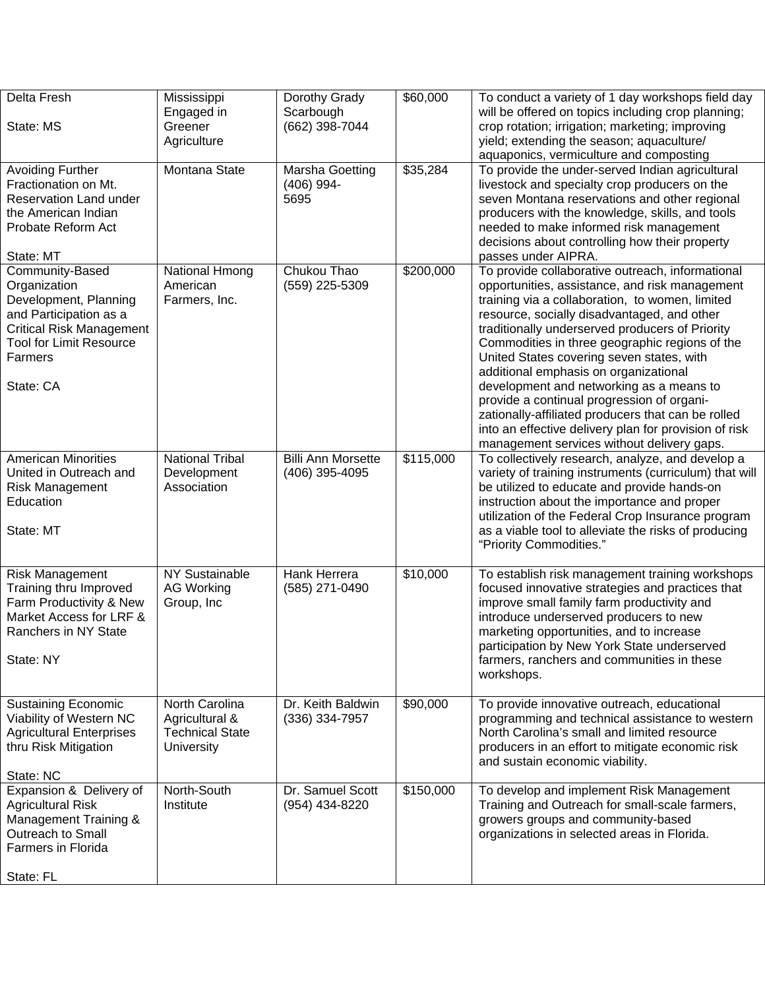| Delta Fresh                     | Mississippi            | Dorothy Grady             | \$60,000  | To conduct a variety of 1 day workshops field day      |
|---------------------------------|------------------------|---------------------------|-----------|--------------------------------------------------------|
|                                 | Engaged in             | Scarbough                 |           | will be offered on topics including crop planning;     |
| State: MS                       | Greener                | (662) 398-7044            |           | crop rotation; irrigation; marketing; improving        |
|                                 | Agriculture            |                           |           | yield; extending the season; aquaculture/              |
|                                 |                        |                           |           | aquaponics, vermiculture and composting                |
| <b>Avoiding Further</b>         | Montana State          | Marsha Goetting           | \$35,284  | To provide the under-served Indian agricultural        |
| Fractionation on Mt.            |                        | $(406)$ 994-              |           | livestock and specialty crop producers on the          |
| Reservation Land under          |                        | 5695                      |           | seven Montana reservations and other regional          |
| the American Indian             |                        |                           |           | producers with the knowledge, skills, and tools        |
| Probate Reform Act              |                        |                           |           | needed to make informed risk management                |
|                                 |                        |                           |           | decisions about controlling how their property         |
| State: MT                       |                        |                           |           | passes under AIPRA.                                    |
| Community-Based                 | National Hmong         | Chukou Thao               | \$200,000 | To provide collaborative outreach, informational       |
| Organization                    | American               | (559) 225-5309            |           | opportunities, assistance, and risk management         |
| Development, Planning           | Farmers, Inc.          |                           |           | training via a collaboration, to women, limited        |
| and Participation as a          |                        |                           |           | resource, socially disadvantaged, and other            |
| <b>Critical Risk Management</b> |                        |                           |           | traditionally underserved producers of Priority        |
| <b>Tool for Limit Resource</b>  |                        |                           |           | Commodities in three geographic regions of the         |
| Farmers                         |                        |                           |           | United States covering seven states, with              |
|                                 |                        |                           |           | additional emphasis on organizational                  |
| State: CA                       |                        |                           |           | development and networking as a means to               |
|                                 |                        |                           |           | provide a continual progression of organi-             |
|                                 |                        |                           |           | zationally-affiliated producers that can be rolled     |
|                                 |                        |                           |           | into an effective delivery plan for provision of risk  |
|                                 |                        |                           |           | management services without delivery gaps.             |
| <b>American Minorities</b>      | <b>National Tribal</b> | <b>Billi Ann Morsette</b> | \$115,000 | To collectively research, analyze, and develop a       |
| United in Outreach and          | Development            | (406) 395-4095            |           | variety of training instruments (curriculum) that will |
| <b>Risk Management</b>          | Association            |                           |           | be utilized to educate and provide hands-on            |
| Education                       |                        |                           |           | instruction about the importance and proper            |
|                                 |                        |                           |           | utilization of the Federal Crop Insurance program      |
| State: MT                       |                        |                           |           | as a viable tool to alleviate the risks of producing   |
|                                 |                        |                           |           | "Priority Commodities."                                |
| <b>Risk Management</b>          | NY Sustainable         | Hank Herrera              | \$10,000  | To establish risk management training workshops        |
| Training thru Improved          | <b>AG Working</b>      | (585) 271-0490            |           | focused innovative strategies and practices that       |
| Farm Productivity & New         | Group, Inc             |                           |           | improve small family farm productivity and             |
| Market Access for LRF &         |                        |                           |           | introduce underserved producers to new                 |
| Ranchers in NY State            |                        |                           |           | marketing opportunities, and to increase               |
|                                 |                        |                           |           | participation by New York State underserved            |
| State: NY                       |                        |                           |           | farmers, ranchers and communities in these             |
|                                 |                        |                           |           | workshops.                                             |
|                                 |                        |                           |           |                                                        |
| <b>Sustaining Economic</b>      | North Carolina         | Dr. Keith Baldwin         | \$90,000  | To provide innovative outreach, educational            |
| Viability of Western NC         | Agricultural &         | (336) 334-7957            |           | programming and technical assistance to western        |
| <b>Agricultural Enterprises</b> | <b>Technical State</b> |                           |           | North Carolina's small and limited resource            |
| thru Risk Mitigation            | <b>University</b>      |                           |           | producers in an effort to mitigate economic risk       |
|                                 |                        |                           |           | and sustain economic viability.                        |
| State: NC                       |                        |                           |           |                                                        |
| Expansion & Delivery of         | North-South            | Dr. Samuel Scott          | \$150,000 | To develop and implement Risk Management               |
| <b>Agricultural Risk</b>        | Institute              | (954) 434-8220            |           | Training and Outreach for small-scale farmers,         |
| Management Training &           |                        |                           |           | growers groups and community-based                     |
| Outreach to Small               |                        |                           |           | organizations in selected areas in Florida.            |
| <b>Farmers in Florida</b>       |                        |                           |           |                                                        |
|                                 |                        |                           |           |                                                        |
| State: FL                       |                        |                           |           |                                                        |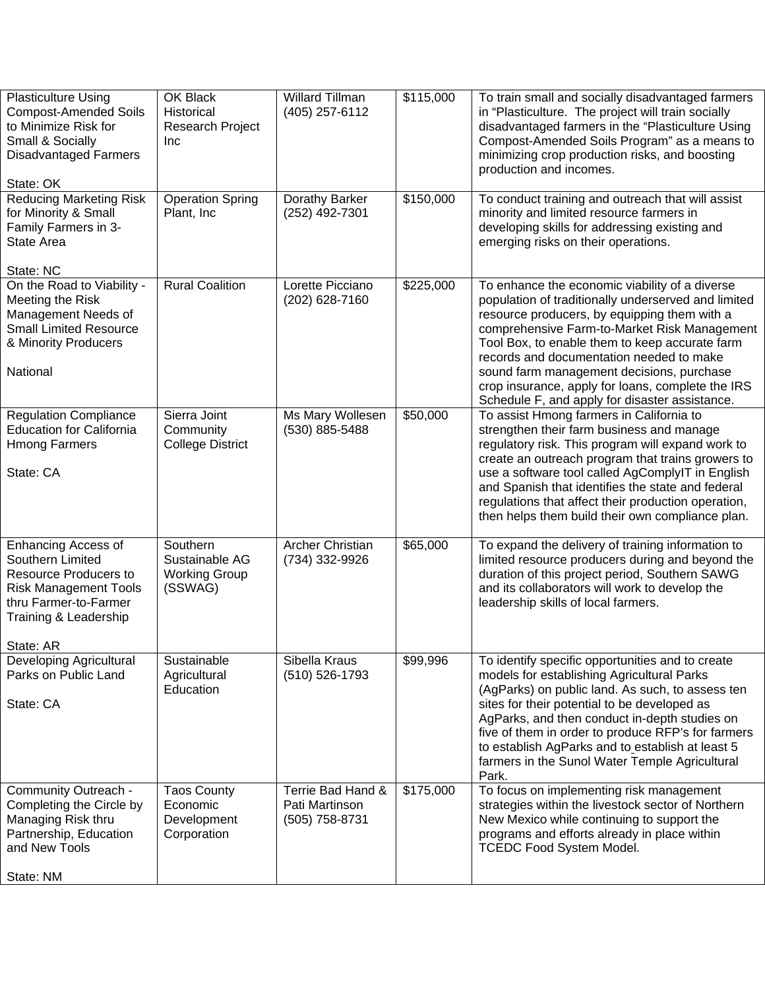| <b>Plasticulture Using</b><br><b>Compost-Amended Soils</b><br>to Minimize Risk for<br>Small & Socially<br><b>Disadvantaged Farmers</b><br>State: OK                           | OK Black<br>Historical<br>Research Project<br>Inc             | <b>Willard Tillman</b><br>(405) 257-6112                | \$115,000 | To train small and socially disadvantaged farmers<br>in "Plasticulture. The project will train socially<br>disadvantaged farmers in the "Plasticulture Using<br>Compost-Amended Soils Program" as a means to<br>minimizing crop production risks, and boosting<br>production and incomes.                                                                                                                                                               |
|-------------------------------------------------------------------------------------------------------------------------------------------------------------------------------|---------------------------------------------------------------|---------------------------------------------------------|-----------|---------------------------------------------------------------------------------------------------------------------------------------------------------------------------------------------------------------------------------------------------------------------------------------------------------------------------------------------------------------------------------------------------------------------------------------------------------|
| <b>Reducing Marketing Risk</b><br>for Minority & Small<br>Family Farmers in 3-<br>State Area<br>State: NC                                                                     | <b>Operation Spring</b><br>Plant, Inc                         | Dorathy Barker<br>(252) 492-7301                        | \$150,000 | To conduct training and outreach that will assist<br>minority and limited resource farmers in<br>developing skills for addressing existing and<br>emerging risks on their operations.                                                                                                                                                                                                                                                                   |
| On the Road to Viability -<br>Meeting the Risk<br>Management Needs of<br><b>Small Limited Resource</b><br>& Minority Producers<br>National                                    | <b>Rural Coalition</b>                                        | Lorette Picciano<br>(202) 628-7160                      | \$225,000 | To enhance the economic viability of a diverse<br>population of traditionally underserved and limited<br>resource producers, by equipping them with a<br>comprehensive Farm-to-Market Risk Management<br>Tool Box, to enable them to keep accurate farm<br>records and documentation needed to make<br>sound farm management decisions, purchase<br>crop insurance, apply for loans, complete the IRS<br>Schedule F, and apply for disaster assistance. |
| <b>Regulation Compliance</b><br><b>Education for California</b><br><b>Hmong Farmers</b><br>State: CA                                                                          | Sierra Joint<br>Community<br><b>College District</b>          | Ms Mary Wollesen<br>(530) 885-5488                      | \$50,000  | To assist Hmong farmers in California to<br>strengthen their farm business and manage<br>regulatory risk. This program will expand work to<br>create an outreach program that trains growers to<br>use a software tool called AgComplyIT in English<br>and Spanish that identifies the state and federal<br>regulations that affect their production operation,<br>then helps them build their own compliance plan.                                     |
| <b>Enhancing Access of</b><br>Southern Limited<br><b>Resource Producers to</b><br><b>Risk Management Tools</b><br>thru Farmer-to-Farmer<br>Training & Leadership<br>State: AR | Southern<br>Sustainable AG<br><b>Working Group</b><br>(SSWAG) | Archer Christian<br>(734) 332-9926                      | \$65,000  | To expand the delivery of training information to<br>limited resource producers during and beyond the<br>duration of this project period, Southern SAWG<br>and its collaborators will work to develop the<br>leadership skills of local farmers.                                                                                                                                                                                                        |
| Developing Agricultural<br>Parks on Public Land<br>State: CA                                                                                                                  | Sustainable<br>Agricultural<br>Education                      | Sibella Kraus<br>(510) 526-1793                         | \$99,996  | To identify specific opportunities and to create<br>models for establishing Agricultural Parks<br>(AgParks) on public land. As such, to assess ten<br>sites for their potential to be developed as<br>AgParks, and then conduct in-depth studies on<br>five of them in order to produce RFP's for farmers<br>to establish AgParks and to establish at least 5<br>farmers in the Sunol Water Temple Agricultural<br>Park.                                |
| Community Outreach -<br>Completing the Circle by<br>Managing Risk thru<br>Partnership, Education<br>and New Tools<br>State: NM                                                | <b>Taos County</b><br>Economic<br>Development<br>Corporation  | Terrie Bad Hand &<br>Pati Martinson<br>$(505)$ 758-8731 | \$175,000 | To focus on implementing risk management<br>strategies within the livestock sector of Northern<br>New Mexico while continuing to support the<br>programs and efforts already in place within<br><b>TCEDC Food System Model.</b>                                                                                                                                                                                                                         |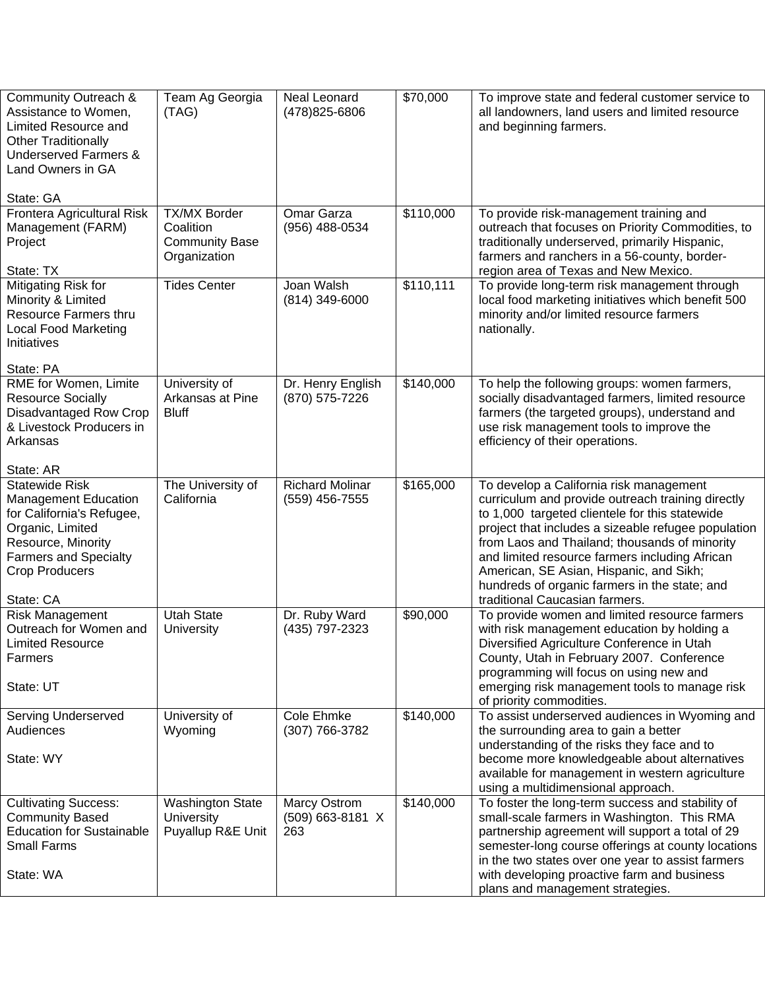| Community Outreach &<br>Assistance to Women,<br>Limited Resource and<br><b>Other Traditionally</b><br><b>Underserved Farmers &amp;</b><br>Land Owners in GA                                       | Team Ag Georgia<br>(TAG)                                                  | Neal Leonard<br>(478) 825-6806           | \$70,000  | To improve state and federal customer service to<br>all landowners, land users and limited resource<br>and beginning farmers.                                                                                                                                                                                                                                                                                                          |
|---------------------------------------------------------------------------------------------------------------------------------------------------------------------------------------------------|---------------------------------------------------------------------------|------------------------------------------|-----------|----------------------------------------------------------------------------------------------------------------------------------------------------------------------------------------------------------------------------------------------------------------------------------------------------------------------------------------------------------------------------------------------------------------------------------------|
| State: GA                                                                                                                                                                                         |                                                                           |                                          |           |                                                                                                                                                                                                                                                                                                                                                                                                                                        |
| Frontera Agricultural Risk<br>Management (FARM)<br>Project                                                                                                                                        | <b>TX/MX Border</b><br>Coalition<br><b>Community Base</b><br>Organization | Omar Garza<br>(956) 488-0534             | \$110,000 | To provide risk-management training and<br>outreach that focuses on Priority Commodities, to<br>traditionally underserved, primarily Hispanic,<br>farmers and ranchers in a 56-county, border-                                                                                                                                                                                                                                         |
| State: TX                                                                                                                                                                                         |                                                                           |                                          |           | region area of Texas and New Mexico.                                                                                                                                                                                                                                                                                                                                                                                                   |
| Mitigating Risk for<br>Minority & Limited<br><b>Resource Farmers thru</b><br><b>Local Food Marketing</b><br>Initiatives                                                                           | <b>Tides Center</b>                                                       | Joan Walsh<br>$(814)$ 349-6000           | \$110,111 | To provide long-term risk management through<br>local food marketing initiatives which benefit 500<br>minority and/or limited resource farmers<br>nationally.                                                                                                                                                                                                                                                                          |
| State: PA                                                                                                                                                                                         |                                                                           |                                          |           |                                                                                                                                                                                                                                                                                                                                                                                                                                        |
| RME for Women, Limite<br><b>Resource Socially</b><br>Disadvantaged Row Crop<br>& Livestock Producers in<br>Arkansas                                                                               | University of<br>Arkansas at Pine<br><b>Bluff</b>                         | Dr. Henry English<br>(870) 575-7226      | \$140,000 | To help the following groups: women farmers,<br>socially disadvantaged farmers, limited resource<br>farmers (the targeted groups), understand and<br>use risk management tools to improve the<br>efficiency of their operations.                                                                                                                                                                                                       |
| State: AR                                                                                                                                                                                         |                                                                           |                                          |           |                                                                                                                                                                                                                                                                                                                                                                                                                                        |
| <b>Statewide Risk</b><br><b>Management Education</b><br>for California's Refugee,<br>Organic, Limited<br>Resource, Minority<br><b>Farmers and Specialty</b><br><b>Crop Producers</b><br>State: CA | The University of<br>California                                           | <b>Richard Molinar</b><br>(559) 456-7555 | \$165,000 | To develop a California risk management<br>curriculum and provide outreach training directly<br>to 1,000 targeted clientele for this statewide<br>project that includes a sizeable refugee population<br>from Laos and Thailand; thousands of minority<br>and limited resource farmers including African<br>American, SE Asian, Hispanic, and Sikh;<br>hundreds of organic farmers in the state; and<br>traditional Caucasian farmers. |
| <b>Risk Management</b>                                                                                                                                                                            | <b>Utah State</b>                                                         | Dr. Ruby Ward                            | \$90,000  | To provide women and limited resource farmers                                                                                                                                                                                                                                                                                                                                                                                          |
| Outreach for Women and<br><b>Limited Resource</b><br>Farmers<br>State: UT                                                                                                                         | University                                                                | (435) 797-2323                           |           | with risk management education by holding a<br>Diversified Agriculture Conference in Utah<br>County, Utah in February 2007. Conference<br>programming will focus on using new and<br>emerging risk management tools to manage risk<br>of priority commodities.                                                                                                                                                                         |
| Serving Underserved                                                                                                                                                                               | University of                                                             | Cole Ehmke                               | \$140,000 | To assist underserved audiences in Wyoming and                                                                                                                                                                                                                                                                                                                                                                                         |
| Audiences<br>State: WY                                                                                                                                                                            | Wyoming                                                                   | (307) 766-3782                           |           | the surrounding area to gain a better<br>understanding of the risks they face and to<br>become more knowledgeable about alternatives<br>available for management in western agriculture<br>using a multidimensional approach.                                                                                                                                                                                                          |
| <b>Cultivating Success:</b><br><b>Community Based</b><br><b>Education for Sustainable</b><br><b>Small Farms</b><br>State: WA                                                                      | <b>Washington State</b><br>University<br>Puyallup R&E Unit                | Marcy Ostrom<br>(509) 663-8181 X<br>263  | \$140,000 | To foster the long-term success and stability of<br>small-scale farmers in Washington. This RMA<br>partnership agreement will support a total of 29<br>semester-long course offerings at county locations<br>in the two states over one year to assist farmers<br>with developing proactive farm and business<br>plans and management strategies.                                                                                      |